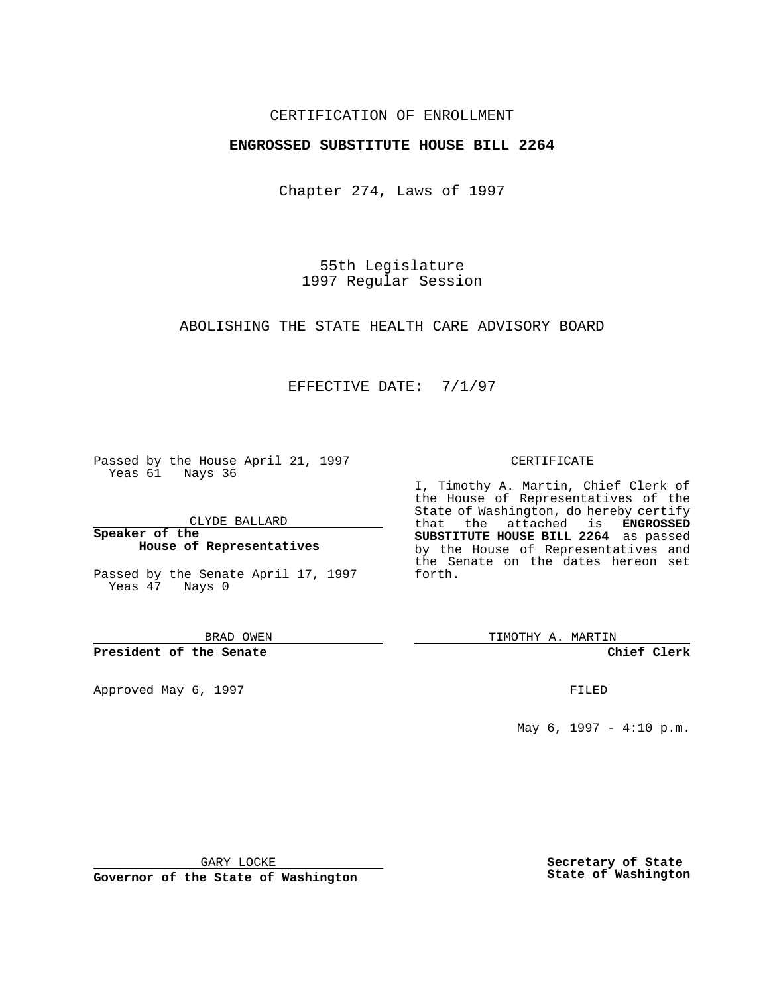## CERTIFICATION OF ENROLLMENT

# **ENGROSSED SUBSTITUTE HOUSE BILL 2264**

Chapter 274, Laws of 1997

55th Legislature 1997 Regular Session

### ABOLISHING THE STATE HEALTH CARE ADVISORY BOARD

# EFFECTIVE DATE: 7/1/97

Passed by the House April 21, 1997 Yeas 61 Nays 36

CLYDE BALLARD

**Speaker of the House of Representatives**

Passed by the Senate April 17, 1997 Yeas 47 Nays 0

BRAD OWEN

## **President of the Senate**

Approved May 6, 1997 **FILED** 

### CERTIFICATE

I, Timothy A. Martin, Chief Clerk of the House of Representatives of the State of Washington, do hereby certify that the attached is **ENGROSSED SUBSTITUTE HOUSE BILL 2264** as passed by the House of Representatives and the Senate on the dates hereon set forth.

TIMOTHY A. MARTIN

## **Chief Clerk**

May 6, 1997 - 4:10 p.m.

GARY LOCKE

**Governor of the State of Washington**

**Secretary of State State of Washington**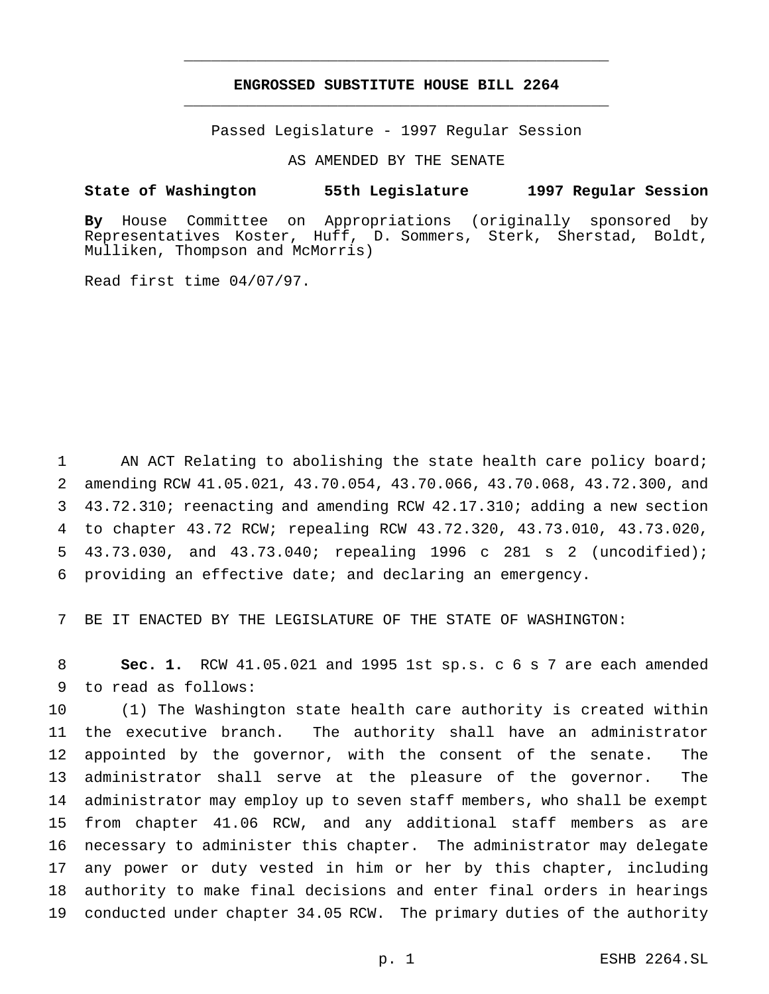# **ENGROSSED SUBSTITUTE HOUSE BILL 2264** \_\_\_\_\_\_\_\_\_\_\_\_\_\_\_\_\_\_\_\_\_\_\_\_\_\_\_\_\_\_\_\_\_\_\_\_\_\_\_\_\_\_\_\_\_\_\_

\_\_\_\_\_\_\_\_\_\_\_\_\_\_\_\_\_\_\_\_\_\_\_\_\_\_\_\_\_\_\_\_\_\_\_\_\_\_\_\_\_\_\_\_\_\_\_

Passed Legislature - 1997 Regular Session

AS AMENDED BY THE SENATE

## **State of Washington 55th Legislature 1997 Regular Session**

**By** House Committee on Appropriations (originally sponsored by Representatives Koster, Huff, D. Sommers, Sterk, Sherstad, Boldt, Mulliken, Thompson and McMorris)

Read first time 04/07/97.

1 AN ACT Relating to abolishing the state health care policy board; amending RCW 41.05.021, 43.70.054, 43.70.066, 43.70.068, 43.72.300, and 43.72.310; reenacting and amending RCW 42.17.310; adding a new section to chapter 43.72 RCW; repealing RCW 43.72.320, 43.73.010, 43.73.020, 43.73.030, and 43.73.040; repealing 1996 c 281 s 2 (uncodified); providing an effective date; and declaring an emergency.

7 BE IT ENACTED BY THE LEGISLATURE OF THE STATE OF WASHINGTON:

8 **Sec. 1.** RCW 41.05.021 and 1995 1st sp.s. c 6 s 7 are each amended 9 to read as follows:

 (1) The Washington state health care authority is created within the executive branch. The authority shall have an administrator appointed by the governor, with the consent of the senate. The administrator shall serve at the pleasure of the governor. The administrator may employ up to seven staff members, who shall be exempt from chapter 41.06 RCW, and any additional staff members as are necessary to administer this chapter. The administrator may delegate any power or duty vested in him or her by this chapter, including authority to make final decisions and enter final orders in hearings conducted under chapter 34.05 RCW. The primary duties of the authority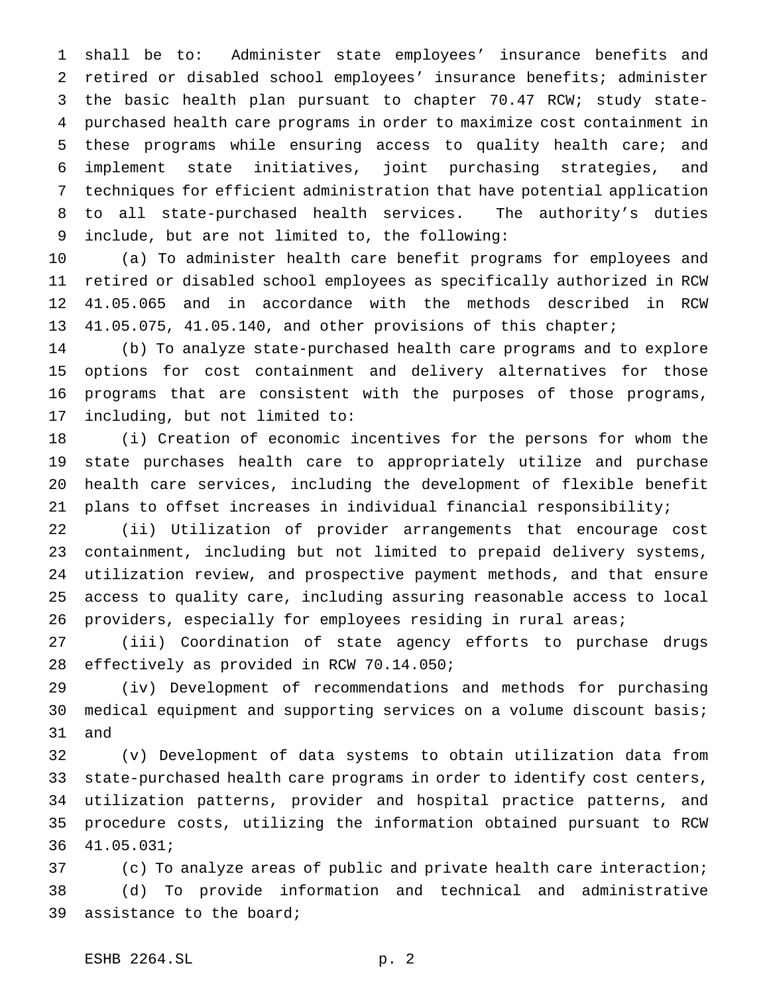shall be to: Administer state employees' insurance benefits and retired or disabled school employees' insurance benefits; administer the basic health plan pursuant to chapter 70.47 RCW; study state- purchased health care programs in order to maximize cost containment in these programs while ensuring access to quality health care; and implement state initiatives, joint purchasing strategies, and techniques for efficient administration that have potential application to all state-purchased health services. The authority's duties include, but are not limited to, the following:

 (a) To administer health care benefit programs for employees and retired or disabled school employees as specifically authorized in RCW 41.05.065 and in accordance with the methods described in RCW 41.05.075, 41.05.140, and other provisions of this chapter;

 (b) To analyze state-purchased health care programs and to explore options for cost containment and delivery alternatives for those programs that are consistent with the purposes of those programs, including, but not limited to:

 (i) Creation of economic incentives for the persons for whom the state purchases health care to appropriately utilize and purchase health care services, including the development of flexible benefit plans to offset increases in individual financial responsibility;

 (ii) Utilization of provider arrangements that encourage cost containment, including but not limited to prepaid delivery systems, utilization review, and prospective payment methods, and that ensure access to quality care, including assuring reasonable access to local 26 providers, especially for employees residing in rural areas;

 (iii) Coordination of state agency efforts to purchase drugs effectively as provided in RCW 70.14.050;

 (iv) Development of recommendations and methods for purchasing medical equipment and supporting services on a volume discount basis; and

 (v) Development of data systems to obtain utilization data from state-purchased health care programs in order to identify cost centers, utilization patterns, provider and hospital practice patterns, and procedure costs, utilizing the information obtained pursuant to RCW 41.05.031;

 (c) To analyze areas of public and private health care interaction; (d) To provide information and technical and administrative assistance to the board;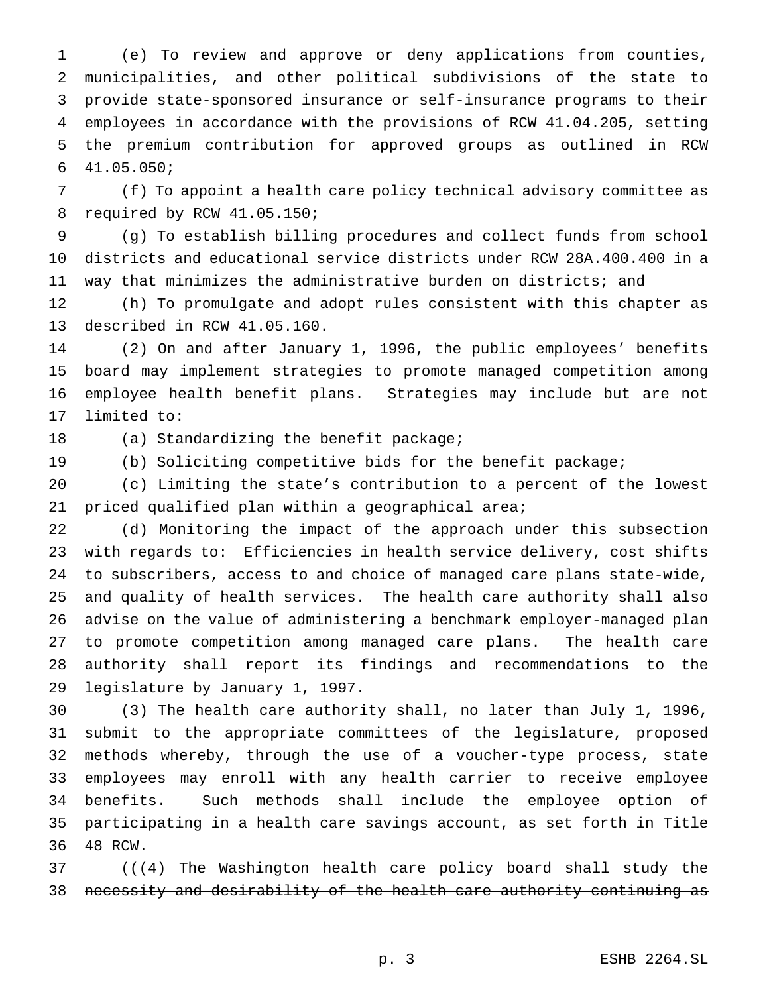(e) To review and approve or deny applications from counties, municipalities, and other political subdivisions of the state to provide state-sponsored insurance or self-insurance programs to their employees in accordance with the provisions of RCW 41.04.205, setting the premium contribution for approved groups as outlined in RCW 41.05.050;

 (f) To appoint a health care policy technical advisory committee as required by RCW 41.05.150;

 (g) To establish billing procedures and collect funds from school districts and educational service districts under RCW 28A.400.400 in a way that minimizes the administrative burden on districts; and

 (h) To promulgate and adopt rules consistent with this chapter as described in RCW 41.05.160.

 (2) On and after January 1, 1996, the public employees' benefits board may implement strategies to promote managed competition among employee health benefit plans. Strategies may include but are not limited to:

18 (a) Standardizing the benefit package;

(b) Soliciting competitive bids for the benefit package;

 (c) Limiting the state's contribution to a percent of the lowest priced qualified plan within a geographical area;

 (d) Monitoring the impact of the approach under this subsection with regards to: Efficiencies in health service delivery, cost shifts to subscribers, access to and choice of managed care plans state-wide, and quality of health services. The health care authority shall also advise on the value of administering a benchmark employer-managed plan to promote competition among managed care plans. The health care authority shall report its findings and recommendations to the legislature by January 1, 1997.

 (3) The health care authority shall, no later than July 1, 1996, submit to the appropriate committees of the legislature, proposed methods whereby, through the use of a voucher-type process, state employees may enroll with any health carrier to receive employee benefits. Such methods shall include the employee option of participating in a health care savings account, as set forth in Title 48 RCW.

37 (((4) The Washington health care policy board shall study the necessity and desirability of the health care authority continuing as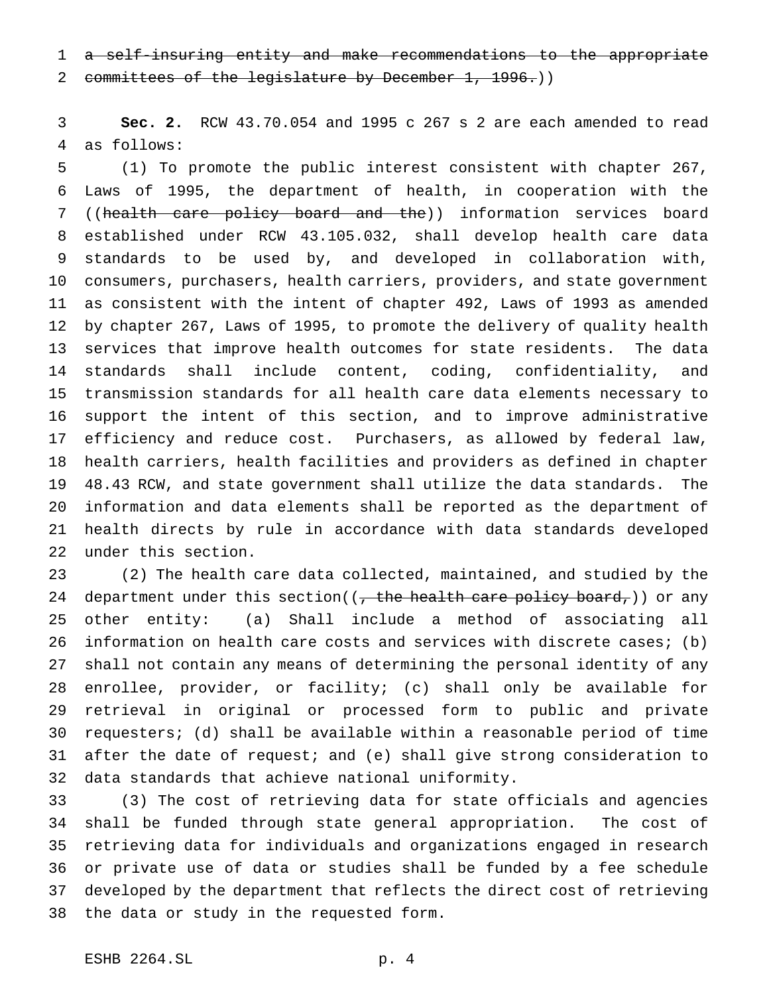a self-insuring entity and make recommendations to the appropriate 2 committees of the legislature by December 1, 1996.))

 **Sec. 2.** RCW 43.70.054 and 1995 c 267 s 2 are each amended to read as follows:

 (1) To promote the public interest consistent with chapter 267, Laws of 1995, the department of health, in cooperation with the ((health care policy board and the)) information services board established under RCW 43.105.032, shall develop health care data standards to be used by, and developed in collaboration with, consumers, purchasers, health carriers, providers, and state government as consistent with the intent of chapter 492, Laws of 1993 as amended by chapter 267, Laws of 1995, to promote the delivery of quality health services that improve health outcomes for state residents. The data standards shall include content, coding, confidentiality, and transmission standards for all health care data elements necessary to support the intent of this section, and to improve administrative efficiency and reduce cost. Purchasers, as allowed by federal law, health carriers, health facilities and providers as defined in chapter 48.43 RCW, and state government shall utilize the data standards. The information and data elements shall be reported as the department of health directs by rule in accordance with data standards developed under this section.

 (2) The health care data collected, maintained, and studied by the 24 department under this section( $($ , the health care policy board, $)$ ) or any other entity: (a) Shall include a method of associating all information on health care costs and services with discrete cases; (b) shall not contain any means of determining the personal identity of any enrollee, provider, or facility; (c) shall only be available for retrieval in original or processed form to public and private requesters; (d) shall be available within a reasonable period of time after the date of request; and (e) shall give strong consideration to data standards that achieve national uniformity.

 (3) The cost of retrieving data for state officials and agencies shall be funded through state general appropriation. The cost of retrieving data for individuals and organizations engaged in research or private use of data or studies shall be funded by a fee schedule developed by the department that reflects the direct cost of retrieving the data or study in the requested form.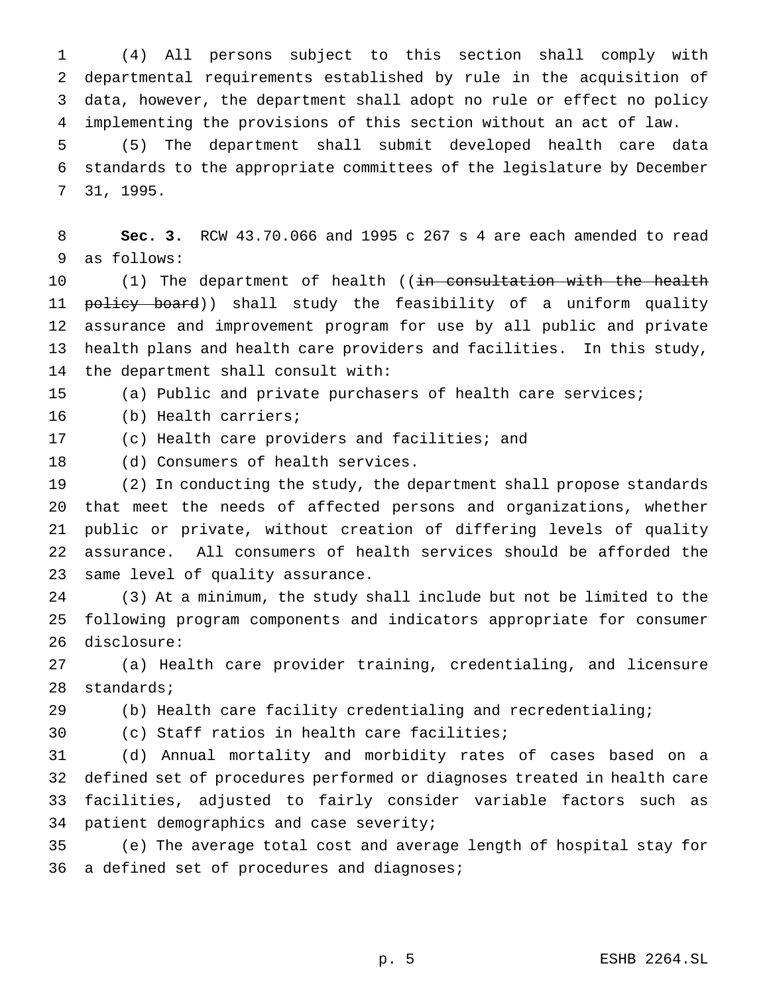(4) All persons subject to this section shall comply with departmental requirements established by rule in the acquisition of data, however, the department shall adopt no rule or effect no policy implementing the provisions of this section without an act of law.

 (5) The department shall submit developed health care data standards to the appropriate committees of the legislature by December 31, 1995.

 **Sec. 3.** RCW 43.70.066 and 1995 c 267 s 4 are each amended to read as follows:

10 (1) The department of health ((<del>in consultation with the health</del> 11 policy board)) shall study the feasibility of a uniform quality assurance and improvement program for use by all public and private health plans and health care providers and facilities. In this study, the department shall consult with:

(a) Public and private purchasers of health care services;

- (b) Health carriers;
- (c) Health care providers and facilities; and

(d) Consumers of health services.

 (2) In conducting the study, the department shall propose standards that meet the needs of affected persons and organizations, whether public or private, without creation of differing levels of quality assurance. All consumers of health services should be afforded the

same level of quality assurance.

 (3) At a minimum, the study shall include but not be limited to the following program components and indicators appropriate for consumer disclosure:

 (a) Health care provider training, credentialing, and licensure standards;

(b) Health care facility credentialing and recredentialing;

(c) Staff ratios in health care facilities;

 (d) Annual mortality and morbidity rates of cases based on a defined set of procedures performed or diagnoses treated in health care facilities, adjusted to fairly consider variable factors such as patient demographics and case severity;

 (e) The average total cost and average length of hospital stay for 36 a defined set of procedures and diagnoses;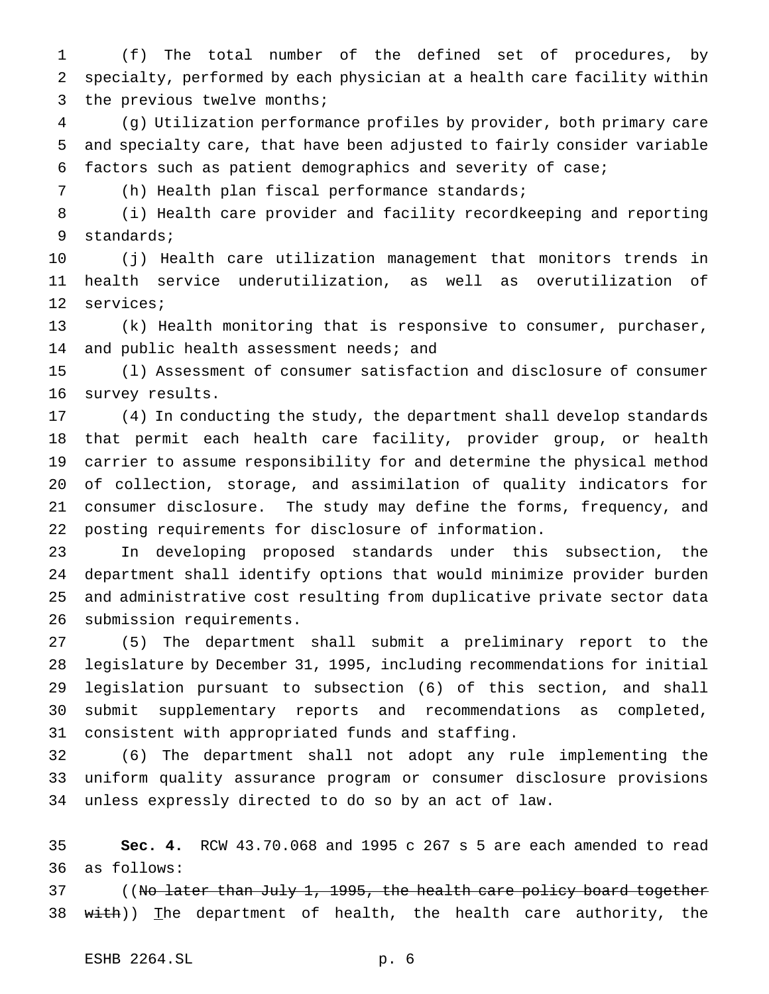(f) The total number of the defined set of procedures, by specialty, performed by each physician at a health care facility within 3 the previous twelve months;

 (g) Utilization performance profiles by provider, both primary care and specialty care, that have been adjusted to fairly consider variable factors such as patient demographics and severity of case;

(h) Health plan fiscal performance standards;

 (i) Health care provider and facility recordkeeping and reporting standards;

 (j) Health care utilization management that monitors trends in health service underutilization, as well as overutilization of services;

 (k) Health monitoring that is responsive to consumer, purchaser, 14 and public health assessment needs; and

 (l) Assessment of consumer satisfaction and disclosure of consumer survey results.

 (4) In conducting the study, the department shall develop standards that permit each health care facility, provider group, or health carrier to assume responsibility for and determine the physical method of collection, storage, and assimilation of quality indicators for consumer disclosure. The study may define the forms, frequency, and posting requirements for disclosure of information.

 In developing proposed standards under this subsection, the department shall identify options that would minimize provider burden and administrative cost resulting from duplicative private sector data submission requirements.

 (5) The department shall submit a preliminary report to the legislature by December 31, 1995, including recommendations for initial legislation pursuant to subsection (6) of this section, and shall submit supplementary reports and recommendations as completed, consistent with appropriated funds and staffing.

 (6) The department shall not adopt any rule implementing the uniform quality assurance program or consumer disclosure provisions unless expressly directed to do so by an act of law.

 **Sec. 4.** RCW 43.70.068 and 1995 c 267 s 5 are each amended to read as follows:

37 ((No later than July 1, 1995, the health care policy board together 38 with)) The department of health, the health care authority, the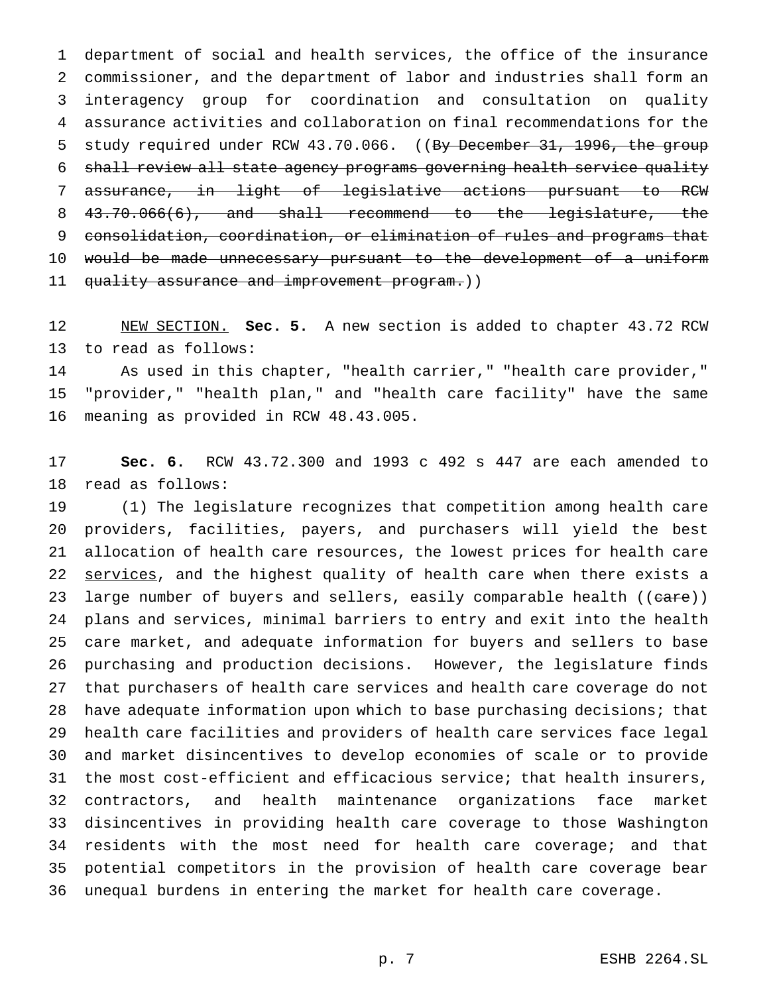department of social and health services, the office of the insurance commissioner, and the department of labor and industries shall form an interagency group for coordination and consultation on quality assurance activities and collaboration on final recommendations for the 5 study required under RCW 43.70.066. ((By December 31, 1996, the group shall review all state agency programs governing health service quality assurance, in light of legislative actions pursuant to RCW 43.70.066(6), and shall recommend to the legislature, the consolidation, coordination, or elimination of rules and programs that would be made unnecessary pursuant to the development of a uniform 11 quality assurance and improvement program.))

 NEW SECTION. **Sec. 5.** A new section is added to chapter 43.72 RCW to read as follows:

 As used in this chapter, "health carrier," "health care provider," "provider," "health plan," and "health care facility" have the same meaning as provided in RCW 48.43.005.

 **Sec. 6.** RCW 43.72.300 and 1993 c 492 s 447 are each amended to read as follows:

 (1) The legislature recognizes that competition among health care providers, facilities, payers, and purchasers will yield the best allocation of health care resources, the lowest prices for health care 22 services, and the highest quality of health care when there exists a 23 large number of buyers and sellers, easily comparable health ((care)) plans and services, minimal barriers to entry and exit into the health care market, and adequate information for buyers and sellers to base purchasing and production decisions. However, the legislature finds that purchasers of health care services and health care coverage do not have adequate information upon which to base purchasing decisions; that health care facilities and providers of health care services face legal and market disincentives to develop economies of scale or to provide the most cost-efficient and efficacious service; that health insurers, contractors, and health maintenance organizations face market disincentives in providing health care coverage to those Washington residents with the most need for health care coverage; and that potential competitors in the provision of health care coverage bear unequal burdens in entering the market for health care coverage.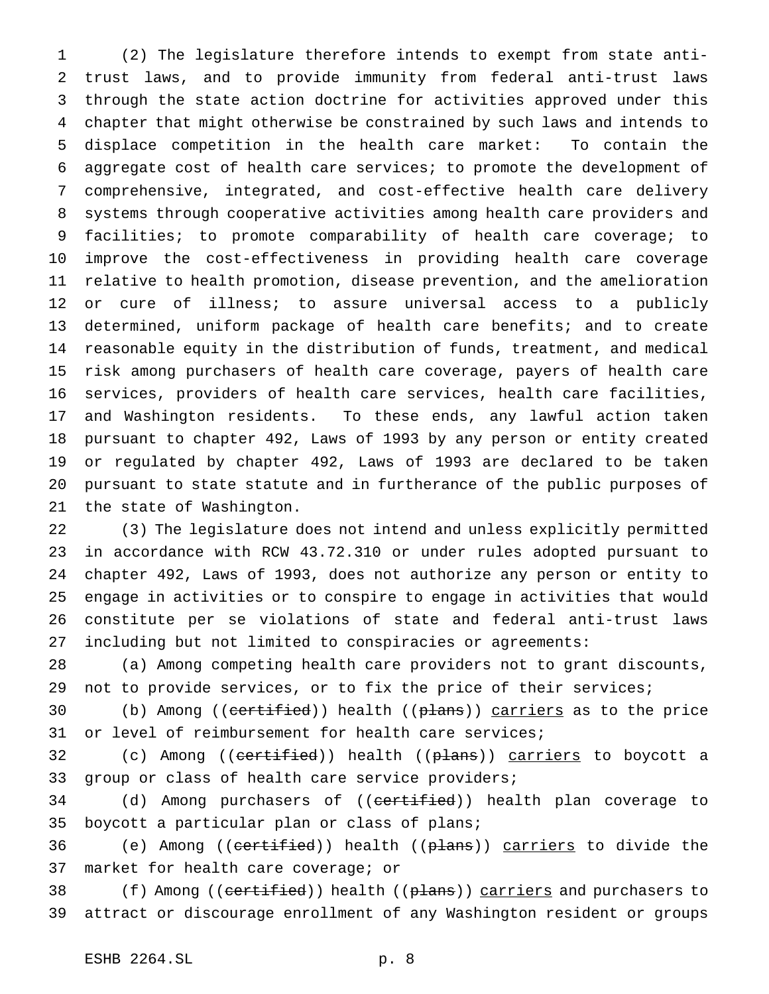(2) The legislature therefore intends to exempt from state anti- trust laws, and to provide immunity from federal anti-trust laws through the state action doctrine for activities approved under this chapter that might otherwise be constrained by such laws and intends to displace competition in the health care market: To contain the aggregate cost of health care services; to promote the development of comprehensive, integrated, and cost-effective health care delivery systems through cooperative activities among health care providers and facilities; to promote comparability of health care coverage; to improve the cost-effectiveness in providing health care coverage relative to health promotion, disease prevention, and the amelioration or cure of illness; to assure universal access to a publicly determined, uniform package of health care benefits; and to create reasonable equity in the distribution of funds, treatment, and medical risk among purchasers of health care coverage, payers of health care services, providers of health care services, health care facilities, and Washington residents. To these ends, any lawful action taken pursuant to chapter 492, Laws of 1993 by any person or entity created or regulated by chapter 492, Laws of 1993 are declared to be taken pursuant to state statute and in furtherance of the public purposes of the state of Washington.

 (3) The legislature does not intend and unless explicitly permitted in accordance with RCW 43.72.310 or under rules adopted pursuant to chapter 492, Laws of 1993, does not authorize any person or entity to engage in activities or to conspire to engage in activities that would constitute per se violations of state and federal anti-trust laws including but not limited to conspiracies or agreements:

 (a) Among competing health care providers not to grant discounts, not to provide services, or to fix the price of their services;

30 (b) Among ((certified)) health ((plans)) carriers as to the price or level of reimbursement for health care services;

32 (c) Among ((<del>certified</del>)) health ((<del>plans</del>)) <u>carriers</u> to boycott a group or class of health care service providers;

34 (d) Among purchasers of ((certified)) health plan coverage to boycott a particular plan or class of plans;

36 (e) Among ((certified)) health ((plans)) carriers to divide the market for health care coverage; or

38 (f) Among ((certified)) health ((plans)) carriers and purchasers to attract or discourage enrollment of any Washington resident or groups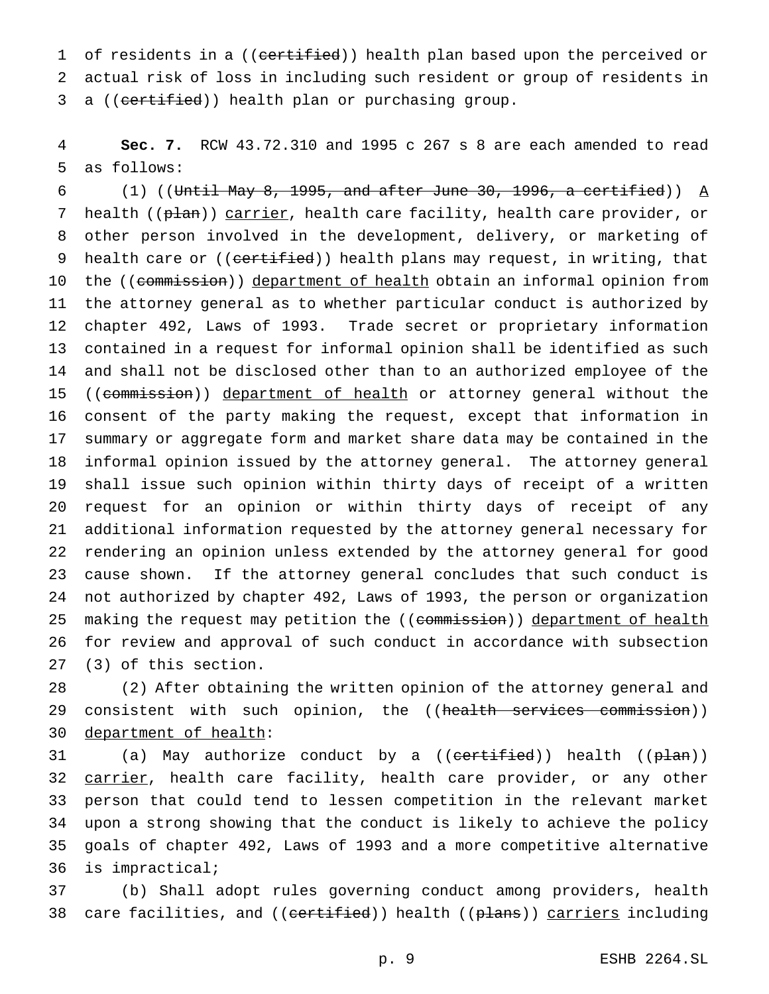1 of residents in a ((certified)) health plan based upon the perceived or actual risk of loss in including such resident or group of residents in 3 a ((certified)) health plan or purchasing group.

 **Sec. 7.** RCW 43.72.310 and 1995 c 267 s 8 are each amended to read as follows:

 $(1)$  ((Until May 8, 1995, and after June 30, 1996, a certified))  $\underline{A}$ 7 health ((plan)) carrier, health care facility, health care provider, or other person involved in the development, delivery, or marketing of 9 health care or ((certified)) health plans may request, in writing, that 10 the ((commission)) department of health obtain an informal opinion from the attorney general as to whether particular conduct is authorized by chapter 492, Laws of 1993. Trade secret or proprietary information contained in a request for informal opinion shall be identified as such and shall not be disclosed other than to an authorized employee of the 15 ((commission)) department of health or attorney general without the consent of the party making the request, except that information in summary or aggregate form and market share data may be contained in the informal opinion issued by the attorney general. The attorney general shall issue such opinion within thirty days of receipt of a written request for an opinion or within thirty days of receipt of any additional information requested by the attorney general necessary for rendering an opinion unless extended by the attorney general for good cause shown. If the attorney general concludes that such conduct is not authorized by chapter 492, Laws of 1993, the person or organization 25 making the request may petition the ((commission)) department of health for review and approval of such conduct in accordance with subsection (3) of this section.

 (2) After obtaining the written opinion of the attorney general and 29 consistent with such opinion, the ((health services commission)) department of health:

31 (a) May authorize conduct by a ((<del>certified</del>)) health ((<del>plan</del>)) 32 carrier, health care facility, health care provider, or any other person that could tend to lessen competition in the relevant market upon a strong showing that the conduct is likely to achieve the policy goals of chapter 492, Laws of 1993 and a more competitive alternative is impractical;

 (b) Shall adopt rules governing conduct among providers, health 38 care facilities, and ((certified)) health ((plans)) carriers including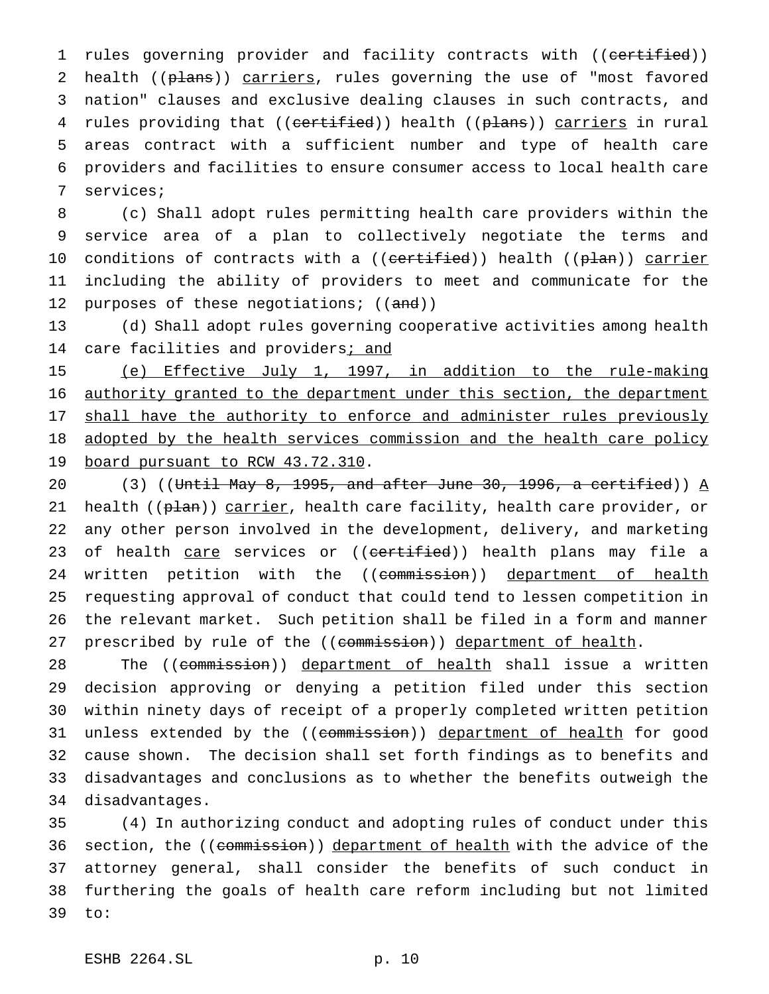1 rules governing provider and facility contracts with ((certified)) 2 health ((plans)) carriers, rules governing the use of "most favored 3 nation" clauses and exclusive dealing clauses in such contracts, and 4 rules providing that ((certified)) health ((plans)) carriers in rural 5 areas contract with a sufficient number and type of health care 6 providers and facilities to ensure consumer access to local health care 7 services;

8 (c) Shall adopt rules permitting health care providers within the 9 service area of a plan to collectively negotiate the terms and 10 conditions of contracts with a ((<del>certified</del>)) health ((p<del>lan</del>)) carrier 11 including the ability of providers to meet and communicate for the 12 purposes of these negotiations;  $((and))$ 

13 (d) Shall adopt rules governing cooperative activities among health 14 care facilities and providers; and

15 (e) Effective July 1, 1997, in addition to the rule-making 16 authority granted to the department under this section, the department 17 shall have the authority to enforce and administer rules previously 18 adopted by the health services commission and the health care policy 19 board pursuant to RCW 43.72.310.

20 (3) ((Until May 8, 1995, and after June 30, 1996, a certified))  $A$ 21 health ((p<del>lan</del>)) carrier, health care facility, health care provider, or 22 any other person involved in the development, delivery, and marketing 23 of health care services or ((certified)) health plans may file a 24 written petition with the ((commission)) department of health 25 requesting approval of conduct that could tend to lessen competition in 26 the relevant market. Such petition shall be filed in a form and manner 27 prescribed by rule of the ((commission)) department of health.

28 The ((<del>commission</del>)) <u>department of health</u> shall issue a written decision approving or denying a petition filed under this section within ninety days of receipt of a properly completed written petition 31 unless extended by the ((commission)) department of health for good cause shown. The decision shall set forth findings as to benefits and disadvantages and conclusions as to whether the benefits outweigh the disadvantages.

35 (4) In authorizing conduct and adopting rules of conduct under this 36 section, the ((commission)) department of health with the advice of the 37 attorney general, shall consider the benefits of such conduct in 38 furthering the goals of health care reform including but not limited 39 to: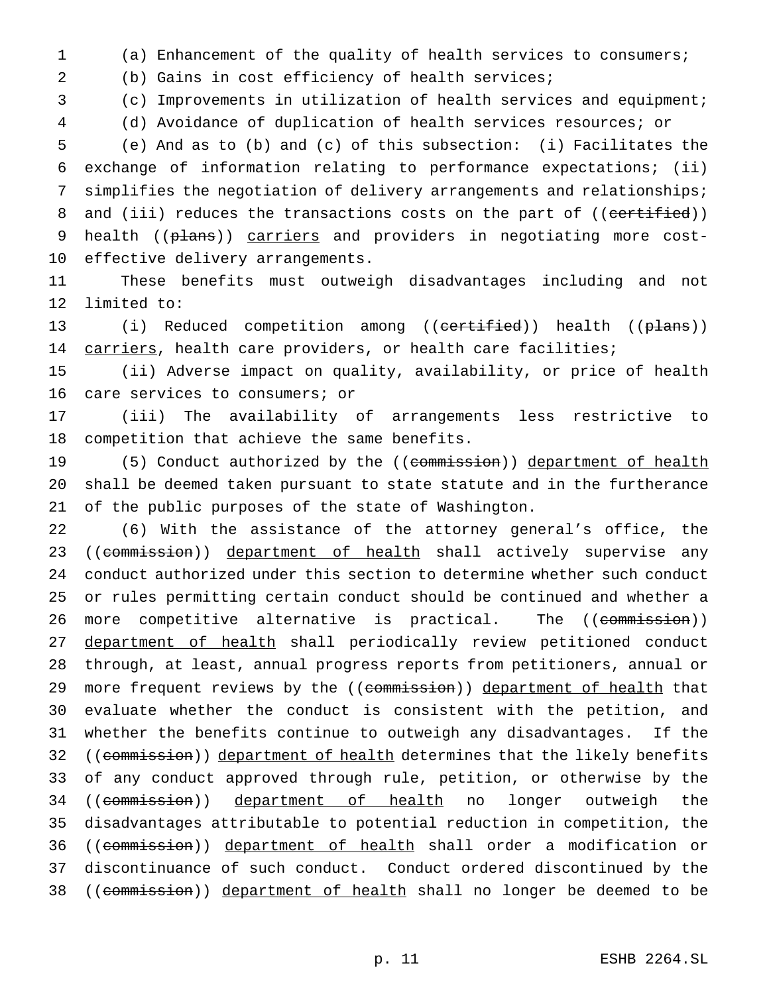(a) Enhancement of the quality of health services to consumers;

(b) Gains in cost efficiency of health services;

(c) Improvements in utilization of health services and equipment;

(d) Avoidance of duplication of health services resources; or

 (e) And as to (b) and (c) of this subsection: (i) Facilitates the exchange of information relating to performance expectations; (ii) simplifies the negotiation of delivery arrangements and relationships; 8 and (iii) reduces the transactions costs on the part of ((certified)) 9 health ((plans)) carriers and providers in negotiating more cost-effective delivery arrangements.

 These benefits must outweigh disadvantages including and not limited to:

13 (i) Reduced competition among ((certified)) health ((plans)) 14 carriers, health care providers, or health care facilities;

 (ii) Adverse impact on quality, availability, or price of health care services to consumers; or

 (iii) The availability of arrangements less restrictive to competition that achieve the same benefits.

19 (5) Conduct authorized by the ((commission)) department of health shall be deemed taken pursuant to state statute and in the furtherance of the public purposes of the state of Washington.

 (6) With the assistance of the attorney general's office, the 23 ((commission)) department of health shall actively supervise any conduct authorized under this section to determine whether such conduct or rules permitting certain conduct should be continued and whether a 26 more competitive alternative is practical. The ((commission)) department of health shall periodically review petitioned conduct through, at least, annual progress reports from petitioners, annual or 29 more frequent reviews by the ((commission)) department of health that evaluate whether the conduct is consistent with the petition, and whether the benefits continue to outweigh any disadvantages. If the 32 ((commission)) department of health determines that the likely benefits of any conduct approved through rule, petition, or otherwise by the 34 ((commission)) department of health no longer outweigh the disadvantages attributable to potential reduction in competition, the 36 ((commission)) department of health shall order a modification or discontinuance of such conduct. Conduct ordered discontinued by the 38 ((commission)) department of health shall no longer be deemed to be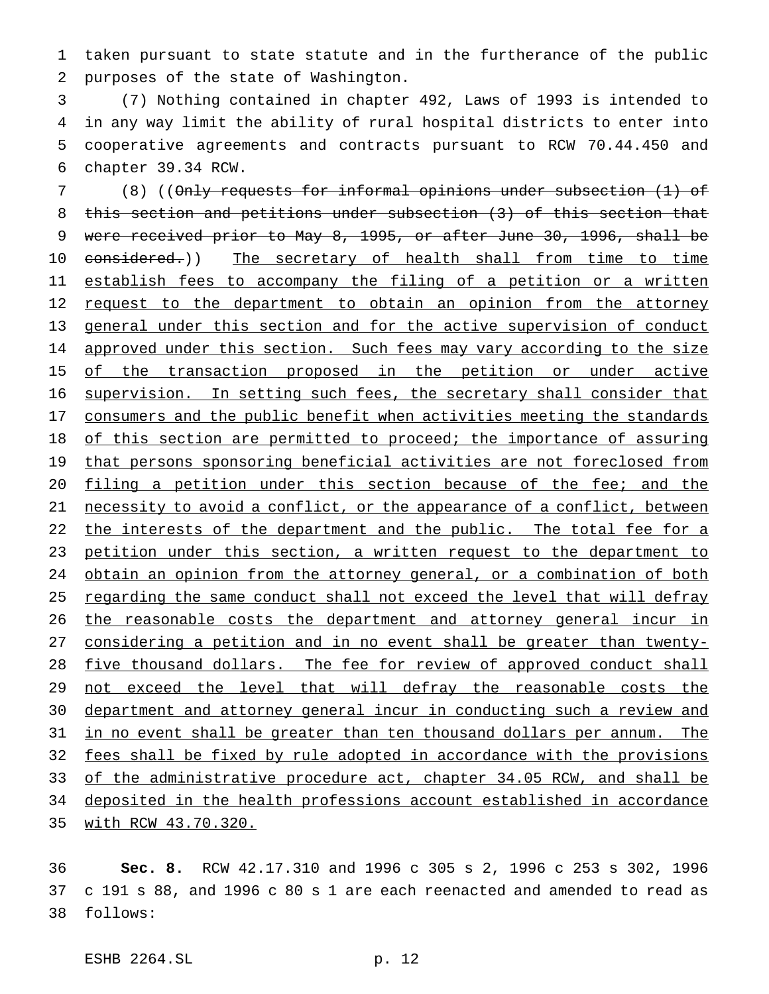1 taken pursuant to state statute and in the furtherance of the public 2 purposes of the state of Washington.

 (7) Nothing contained in chapter 492, Laws of 1993 is intended to in any way limit the ability of rural hospital districts to enter into cooperative agreements and contracts pursuant to RCW 70.44.450 and chapter 39.34 RCW.

7 (8) ((Only requests for informal opinions under subsection (1) of 8 this section and petitions under subsection (3) of this section that 9 were received prior to May 8, 1995, or after June 30, 1996, shall be 10 considered.)) The secretary of health shall from time to time 11 establish fees to accompany the filing of a petition or a written 12 request to the department to obtain an opinion from the attorney 13 general under this section and for the active supervision of conduct 14 approved under this section. Such fees may vary according to the size 15 of the transaction proposed in the petition or under active 16 supervision. In setting such fees, the secretary shall consider that 17 consumers and the public benefit when activities meeting the standards 18 of this section are permitted to proceed; the importance of assuring 19 that persons sponsoring beneficial activities are not foreclosed from 20 filing a petition under this section because of the fee; and the 21 necessity to avoid a conflict, or the appearance of a conflict, between 22 the interests of the department and the public. The total fee for a 23 petition under this section, a written request to the department to 24 obtain an opinion from the attorney general, or a combination of both 25 regarding the same conduct shall not exceed the level that will defray 26 the reasonable costs the department and attorney general incur in 27 considering a petition and in no event shall be greater than twenty-28 five thousand dollars. The fee for review of approved conduct shall 29 not exceed the level that will defray the reasonable costs the 30 department and attorney general incur in conducting such a review and 31 in no event shall be greater than ten thousand dollars per annum. The 32 fees shall be fixed by rule adopted in accordance with the provisions 33 of the administrative procedure act, chapter 34.05 RCW, and shall be 34 deposited in the health professions account established in accordance 35 with RCW 43.70.320.

36 **Sec. 8.** RCW 42.17.310 and 1996 c 305 s 2, 1996 c 253 s 302, 1996 37 c 191 s 88, and 1996 c 80 s 1 are each reenacted and amended to read as 38 follows: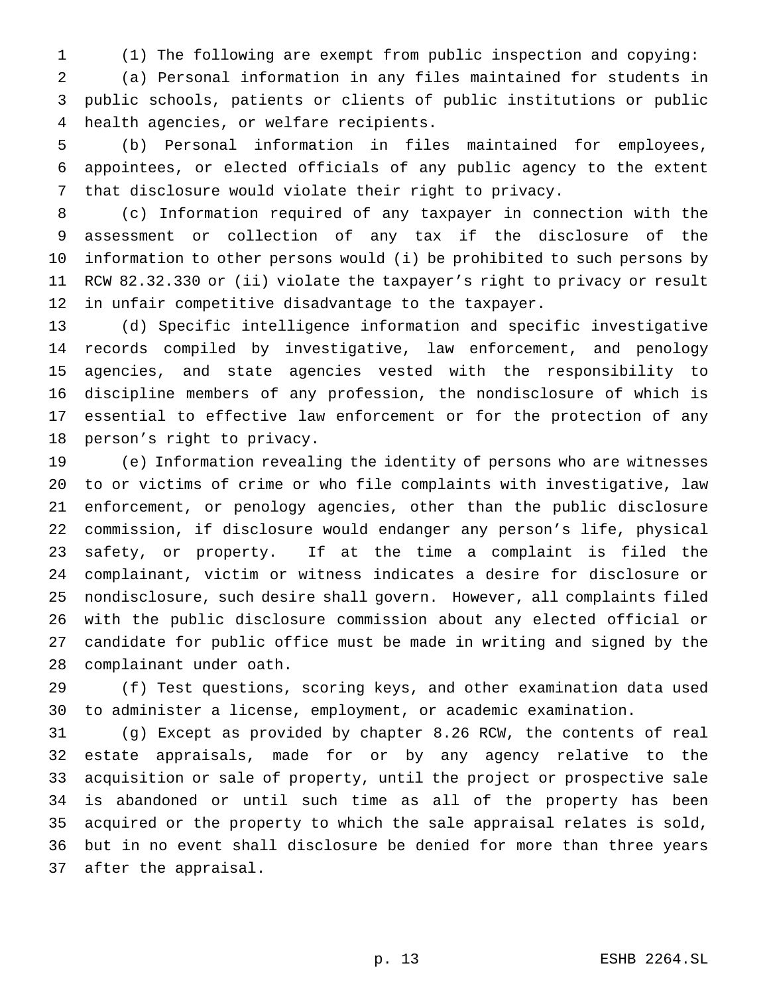(1) The following are exempt from public inspection and copying:

 (a) Personal information in any files maintained for students in public schools, patients or clients of public institutions or public health agencies, or welfare recipients.

 (b) Personal information in files maintained for employees, appointees, or elected officials of any public agency to the extent that disclosure would violate their right to privacy.

 (c) Information required of any taxpayer in connection with the assessment or collection of any tax if the disclosure of the information to other persons would (i) be prohibited to such persons by RCW 82.32.330 or (ii) violate the taxpayer's right to privacy or result in unfair competitive disadvantage to the taxpayer.

 (d) Specific intelligence information and specific investigative records compiled by investigative, law enforcement, and penology agencies, and state agencies vested with the responsibility to discipline members of any profession, the nondisclosure of which is essential to effective law enforcement or for the protection of any person's right to privacy.

 (e) Information revealing the identity of persons who are witnesses to or victims of crime or who file complaints with investigative, law enforcement, or penology agencies, other than the public disclosure commission, if disclosure would endanger any person's life, physical safety, or property. If at the time a complaint is filed the complainant, victim or witness indicates a desire for disclosure or nondisclosure, such desire shall govern. However, all complaints filed with the public disclosure commission about any elected official or candidate for public office must be made in writing and signed by the complainant under oath.

 (f) Test questions, scoring keys, and other examination data used to administer a license, employment, or academic examination.

 (g) Except as provided by chapter 8.26 RCW, the contents of real estate appraisals, made for or by any agency relative to the acquisition or sale of property, until the project or prospective sale is abandoned or until such time as all of the property has been acquired or the property to which the sale appraisal relates is sold, but in no event shall disclosure be denied for more than three years after the appraisal.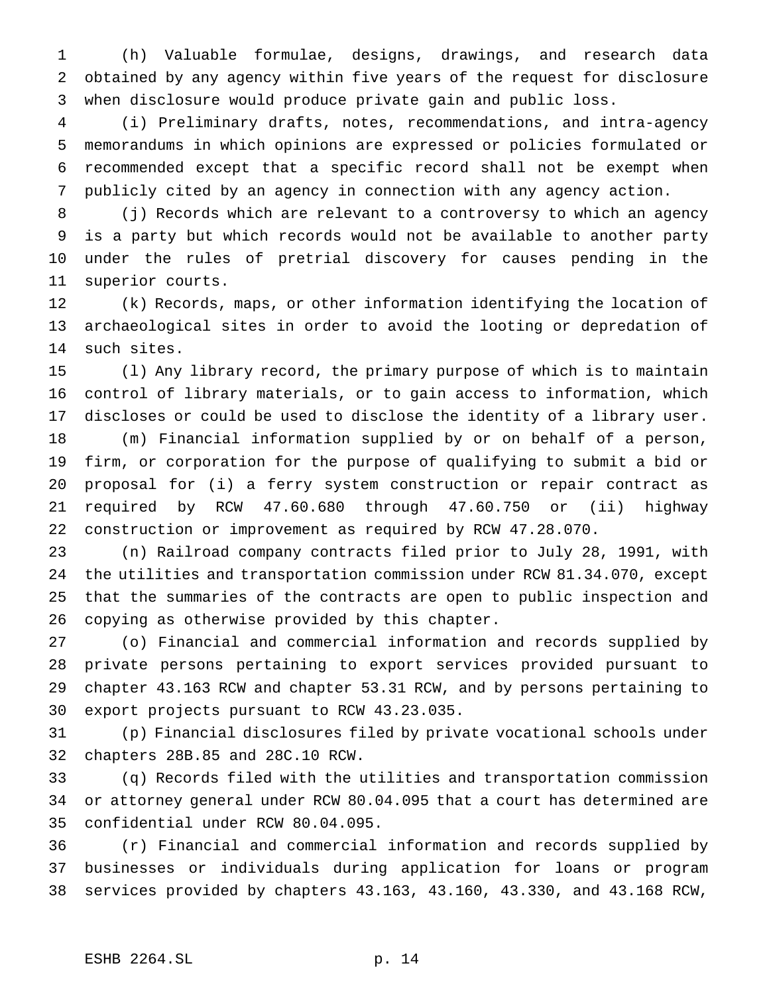(h) Valuable formulae, designs, drawings, and research data obtained by any agency within five years of the request for disclosure when disclosure would produce private gain and public loss.

 (i) Preliminary drafts, notes, recommendations, and intra-agency memorandums in which opinions are expressed or policies formulated or recommended except that a specific record shall not be exempt when publicly cited by an agency in connection with any agency action.

 (j) Records which are relevant to a controversy to which an agency is a party but which records would not be available to another party under the rules of pretrial discovery for causes pending in the superior courts.

 (k) Records, maps, or other information identifying the location of archaeological sites in order to avoid the looting or depredation of such sites.

 (l) Any library record, the primary purpose of which is to maintain control of library materials, or to gain access to information, which discloses or could be used to disclose the identity of a library user.

 (m) Financial information supplied by or on behalf of a person, firm, or corporation for the purpose of qualifying to submit a bid or proposal for (i) a ferry system construction or repair contract as required by RCW 47.60.680 through 47.60.750 or (ii) highway construction or improvement as required by RCW 47.28.070.

 (n) Railroad company contracts filed prior to July 28, 1991, with the utilities and transportation commission under RCW 81.34.070, except that the summaries of the contracts are open to public inspection and copying as otherwise provided by this chapter.

 (o) Financial and commercial information and records supplied by private persons pertaining to export services provided pursuant to chapter 43.163 RCW and chapter 53.31 RCW, and by persons pertaining to export projects pursuant to RCW 43.23.035.

 (p) Financial disclosures filed by private vocational schools under chapters 28B.85 and 28C.10 RCW.

 (q) Records filed with the utilities and transportation commission or attorney general under RCW 80.04.095 that a court has determined are confidential under RCW 80.04.095.

 (r) Financial and commercial information and records supplied by businesses or individuals during application for loans or program services provided by chapters 43.163, 43.160, 43.330, and 43.168 RCW,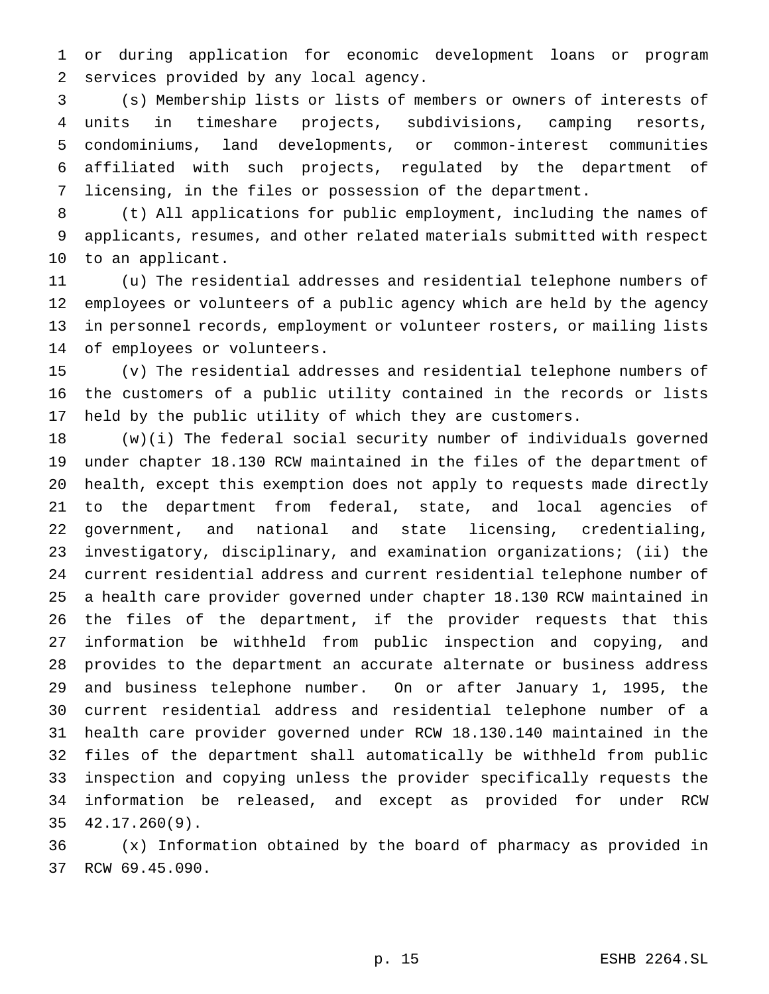or during application for economic development loans or program services provided by any local agency.

 (s) Membership lists or lists of members or owners of interests of units in timeshare projects, subdivisions, camping resorts, condominiums, land developments, or common-interest communities affiliated with such projects, regulated by the department of licensing, in the files or possession of the department.

 (t) All applications for public employment, including the names of applicants, resumes, and other related materials submitted with respect to an applicant.

 (u) The residential addresses and residential telephone numbers of employees or volunteers of a public agency which are held by the agency in personnel records, employment or volunteer rosters, or mailing lists of employees or volunteers.

 (v) The residential addresses and residential telephone numbers of the customers of a public utility contained in the records or lists held by the public utility of which they are customers.

 (w)(i) The federal social security number of individuals governed under chapter 18.130 RCW maintained in the files of the department of health, except this exemption does not apply to requests made directly to the department from federal, state, and local agencies of government, and national and state licensing, credentialing, investigatory, disciplinary, and examination organizations; (ii) the current residential address and current residential telephone number of a health care provider governed under chapter 18.130 RCW maintained in the files of the department, if the provider requests that this information be withheld from public inspection and copying, and provides to the department an accurate alternate or business address and business telephone number. On or after January 1, 1995, the current residential address and residential telephone number of a health care provider governed under RCW 18.130.140 maintained in the files of the department shall automatically be withheld from public inspection and copying unless the provider specifically requests the information be released, and except as provided for under RCW 42.17.260(9).

 (x) Information obtained by the board of pharmacy as provided in RCW 69.45.090.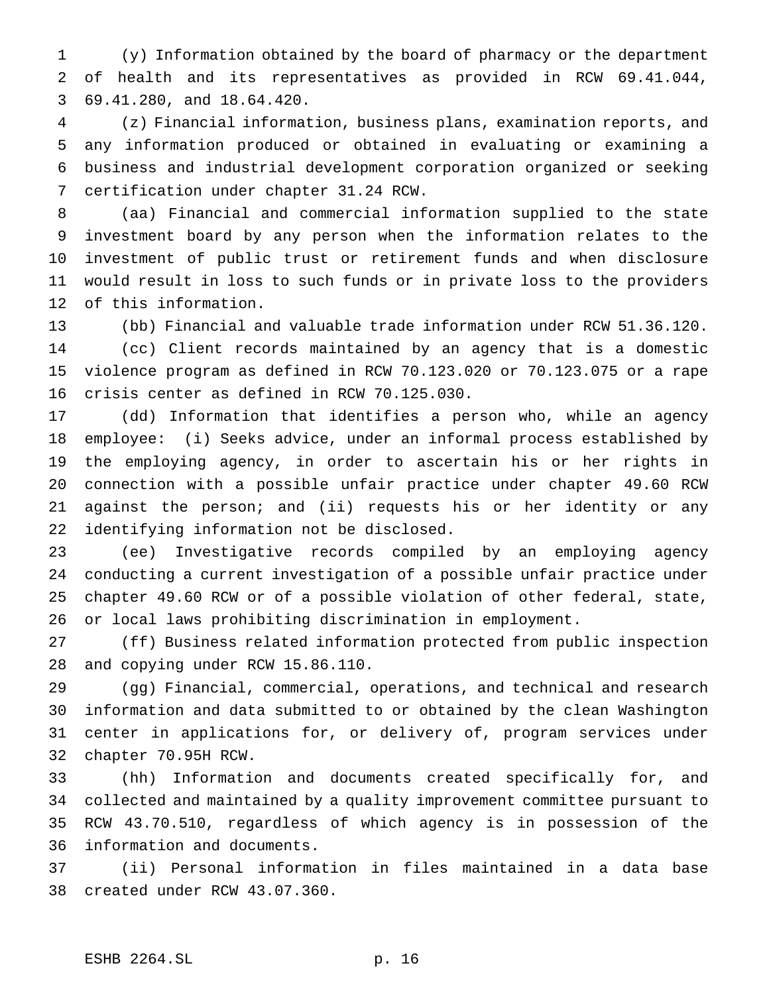(y) Information obtained by the board of pharmacy or the department of health and its representatives as provided in RCW 69.41.044, 69.41.280, and 18.64.420.

 (z) Financial information, business plans, examination reports, and any information produced or obtained in evaluating or examining a business and industrial development corporation organized or seeking certification under chapter 31.24 RCW.

 (aa) Financial and commercial information supplied to the state investment board by any person when the information relates to the investment of public trust or retirement funds and when disclosure would result in loss to such funds or in private loss to the providers of this information.

 (bb) Financial and valuable trade information under RCW 51.36.120. (cc) Client records maintained by an agency that is a domestic violence program as defined in RCW 70.123.020 or 70.123.075 or a rape crisis center as defined in RCW 70.125.030.

 (dd) Information that identifies a person who, while an agency employee: (i) Seeks advice, under an informal process established by the employing agency, in order to ascertain his or her rights in connection with a possible unfair practice under chapter 49.60 RCW against the person; and (ii) requests his or her identity or any identifying information not be disclosed.

 (ee) Investigative records compiled by an employing agency conducting a current investigation of a possible unfair practice under chapter 49.60 RCW or of a possible violation of other federal, state, or local laws prohibiting discrimination in employment.

 (ff) Business related information protected from public inspection and copying under RCW 15.86.110.

 (gg) Financial, commercial, operations, and technical and research information and data submitted to or obtained by the clean Washington center in applications for, or delivery of, program services under chapter 70.95H RCW.

 (hh) Information and documents created specifically for, and collected and maintained by a quality improvement committee pursuant to RCW 43.70.510, regardless of which agency is in possession of the information and documents.

 (ii) Personal information in files maintained in a data base created under RCW 43.07.360.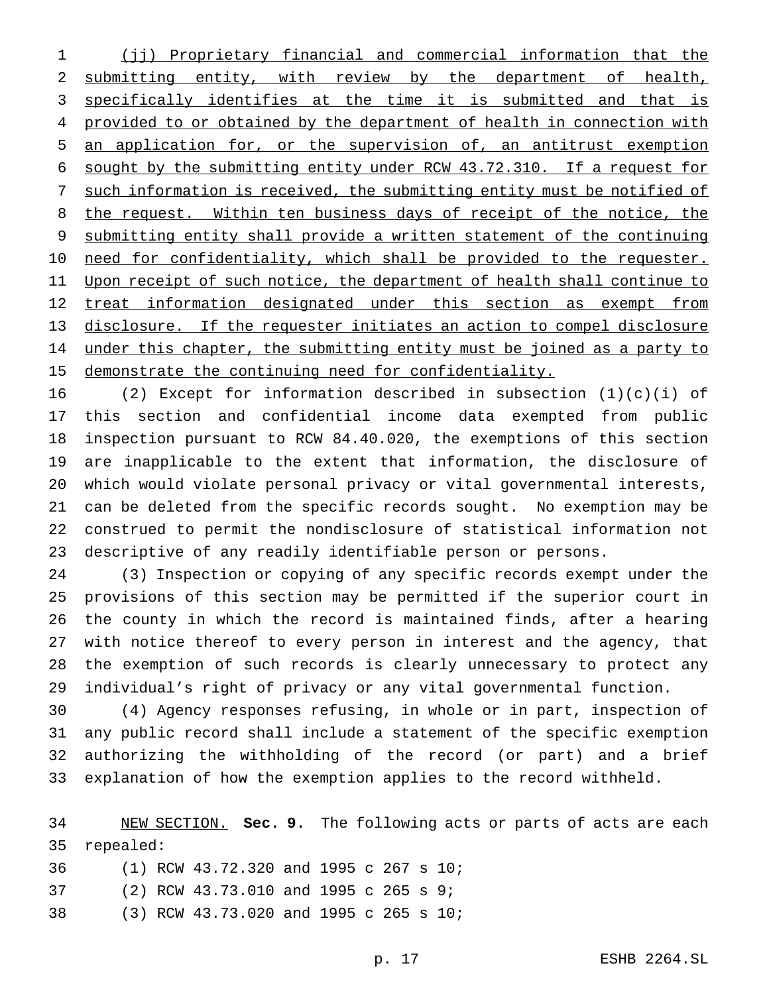(jj) Proprietary financial and commercial information that the submitting entity, with review by the department of health, specifically identifies at the time it is submitted and that is 4 provided to or obtained by the department of health in connection with an application for, or the supervision of, an antitrust exemption sought by the submitting entity under RCW 43.72.310. If a request for such information is received, the submitting entity must be notified of 8 the request. Within ten business days of receipt of the notice, the submitting entity shall provide a written statement of the continuing 10 need for confidentiality, which shall be provided to the requester. 11 Upon receipt of such notice, the department of health shall continue to 12 treat information designated under this section as exempt from disclosure. If the requester initiates an action to compel disclosure 14 under this chapter, the submitting entity must be joined as a party to demonstrate the continuing need for confidentiality.

 (2) Except for information described in subsection (1)(c)(i) of this section and confidential income data exempted from public inspection pursuant to RCW 84.40.020, the exemptions of this section are inapplicable to the extent that information, the disclosure of which would violate personal privacy or vital governmental interests, can be deleted from the specific records sought. No exemption may be construed to permit the nondisclosure of statistical information not descriptive of any readily identifiable person or persons.

 (3) Inspection or copying of any specific records exempt under the provisions of this section may be permitted if the superior court in the county in which the record is maintained finds, after a hearing with notice thereof to every person in interest and the agency, that the exemption of such records is clearly unnecessary to protect any individual's right of privacy or any vital governmental function.

 (4) Agency responses refusing, in whole or in part, inspection of any public record shall include a statement of the specific exemption authorizing the withholding of the record (or part) and a brief explanation of how the exemption applies to the record withheld.

 NEW SECTION. **Sec. 9.** The following acts or parts of acts are each repealed: (1) RCW 43.72.320 and 1995 c 267 s 10; (2) RCW 43.73.010 and 1995 c 265 s 9;

(3) RCW 43.73.020 and 1995 c 265 s 10;